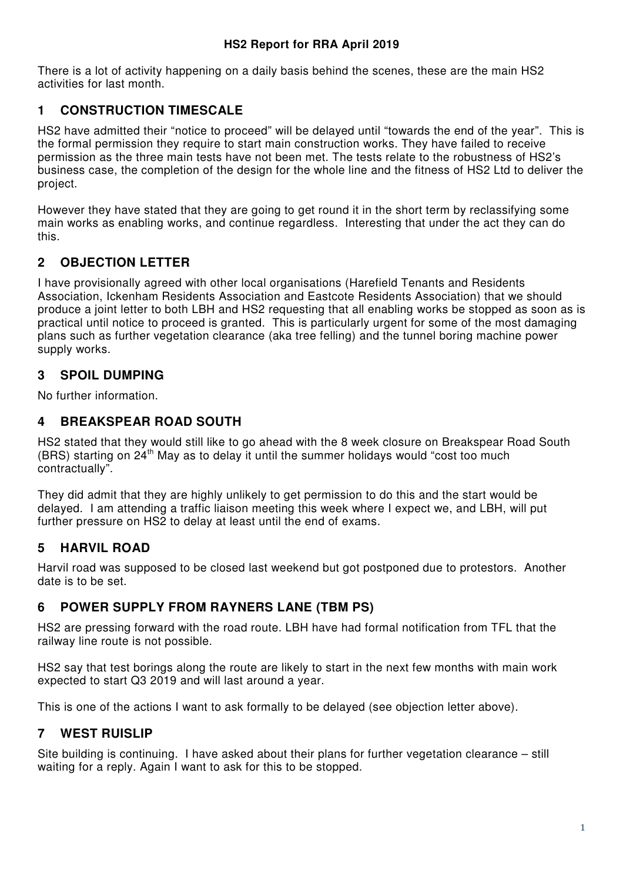There is a lot of activity happening on a daily basis behind the scenes, these are the main HS2 activities for last month.

# **1 CONSTRUCTION TIMESCALE**

HS2 have admitted their "notice to proceed" will be delayed until "towards the end of the year". This is the formal permission they require to start main construction works. They have failed to receive permission as the three main tests have not been met. The tests relate to the robustness of HS2's business case, the completion of the design for the whole line and the fitness of HS2 Ltd to deliver the project.

However they have stated that they are going to get round it in the short term by reclassifying some main works as enabling works, and continue regardless. Interesting that under the act they can do this.

# **2 OBJECTION LETTER**

I have provisionally agreed with other local organisations (Harefield Tenants and Residents Association, Ickenham Residents Association and Eastcote Residents Association) that we should produce a joint letter to both LBH and HS2 requesting that all enabling works be stopped as soon as is practical until notice to proceed is granted. This is particularly urgent for some of the most damaging plans such as further vegetation clearance (aka tree felling) and the tunnel boring machine power supply works.

# **3 SPOIL DUMPING**

No further information.

# **4 BREAKSPEAR ROAD SOUTH**

HS2 stated that they would still like to go ahead with the 8 week closure on Breakspear Road South (BRS) starting on  $24<sup>th</sup>$  May as to delay it until the summer holidays would "cost too much contractually".

They did admit that they are highly unlikely to get permission to do this and the start would be delayed. I am attending a traffic liaison meeting this week where I expect we, and LBH, will put further pressure on HS2 to delay at least until the end of exams.

# **5 HARVIL ROAD**

Harvil road was supposed to be closed last weekend but got postponed due to protestors. Another date is to be set.

# **6 POWER SUPPLY FROM RAYNERS LANE (TBM PS)**

HS2 are pressing forward with the road route. LBH have had formal notification from TFL that the railway line route is not possible.

HS2 say that test borings along the route are likely to start in the next few months with main work expected to start Q3 2019 and will last around a year.

This is one of the actions I want to ask formally to be delayed (see objection letter above).

# **7 WEST RUISLIP**

Site building is continuing. I have asked about their plans for further vegetation clearance – still waiting for a reply. Again I want to ask for this to be stopped.